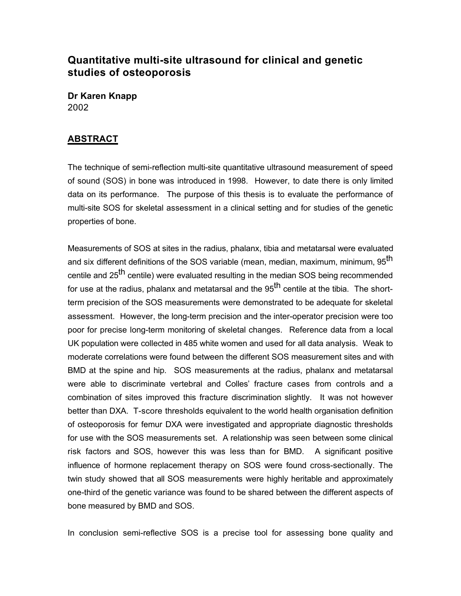## **Quantitative multi-site ultrasound for clinical and genetic studies of osteoporosis**

**Dr Karen Knapp** 2002

## **ABSTRACT**

The technique of semi-reflection multi-site quantitative ultrasound measurement of speed of sound (SOS) in bone was introduced in 1998. However, to date there is only limited data on its performance. The purpose of this thesis is to evaluate the performance of multi-site SOS for skeletal assessment in a clinical setting and for studies of the genetic properties of bone.

Measurements of SOS at sites in the radius, phalanx, tibia and metatarsal were evaluated and six different definitions of the SOS variable (mean, median, maximum, minimum, 95<sup>th</sup> centile and 25<sup>th</sup> centile) were evaluated resulting in the median SOS being recommended for use at the radius, phalanx and metatarsal and the  $95<sup>th</sup>$  centile at the tibia. The shortterm precision of the SOS measurements were demonstrated to be adequate for skeletal assessment. However, the long-term precision and the inter-operator precision were too poor for precise long-term monitoring of skeletal changes. Reference data from a local UK population were collected in 485 white women and used for all data analysis. Weak to moderate correlations were found between the different SOS measurement sites and with BMD at the spine and hip. SOS measurements at the radius, phalanx and metatarsal were able to discriminate vertebral and Colles' fracture cases from controls and a combination of sites improved this fracture discrimination slightly. It was not however better than DXA. T-score thresholds equivalent to the world health organisation definition of osteoporosis for femur DXA were investigated and appropriate diagnostic thresholds for use with the SOS measurements set. A relationship was seen between some clinical risk factors and SOS, however this was less than for BMD. A significant positive influence of hormone replacement therapy on SOS were found cross-sectionally. The twin study showed that all SOS measurements were highly heritable and approximately one-third of the genetic variance was found to be shared between the different aspects of bone measured by BMD and SOS.

In conclusion semi-reflective SOS is a precise tool for assessing bone quality and